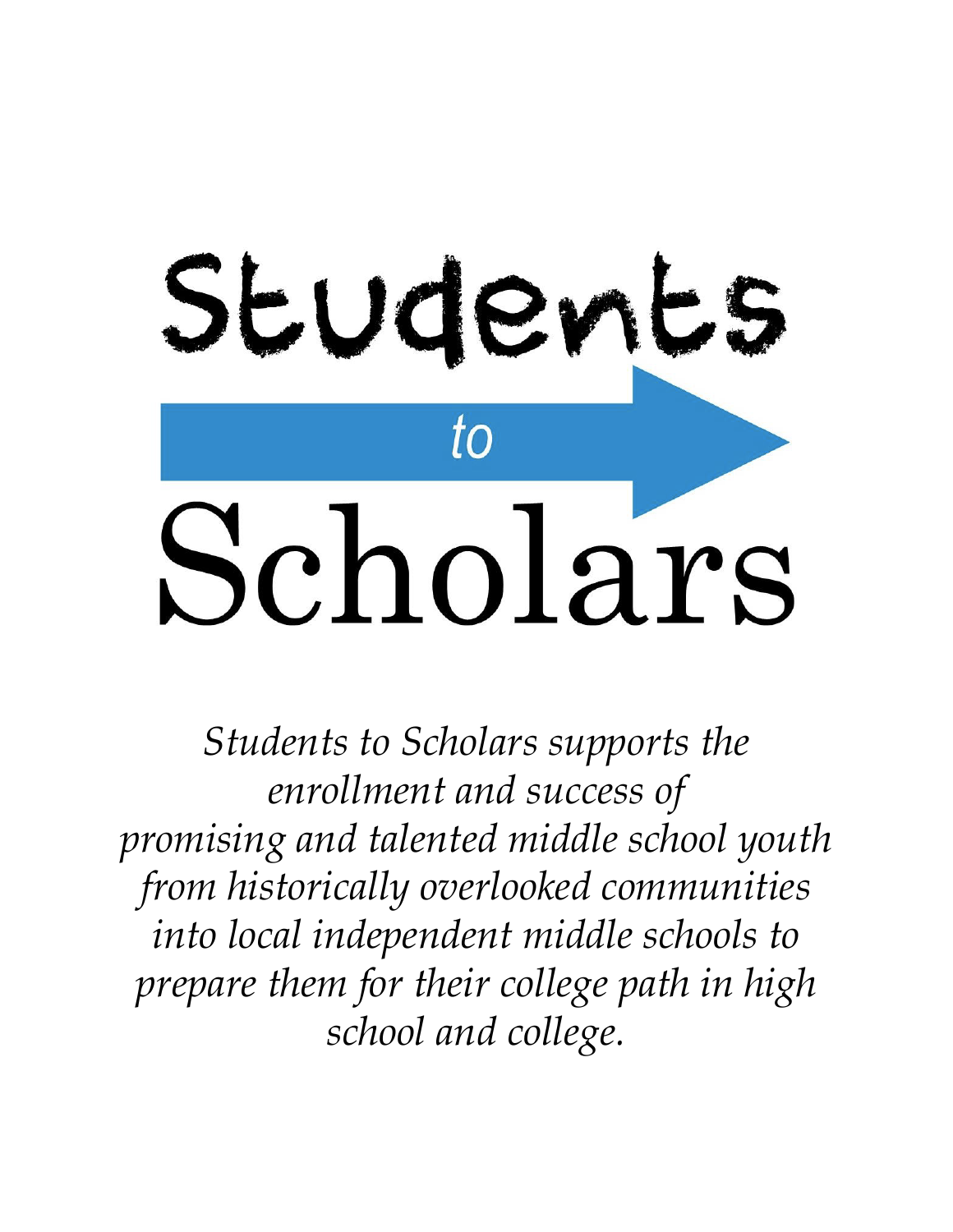

*Students to Scholars supports the enrollment and success of promising and talented middle school youth from historically overlooked communities into local independent middle schools to prepare them for their college path in high school and college.*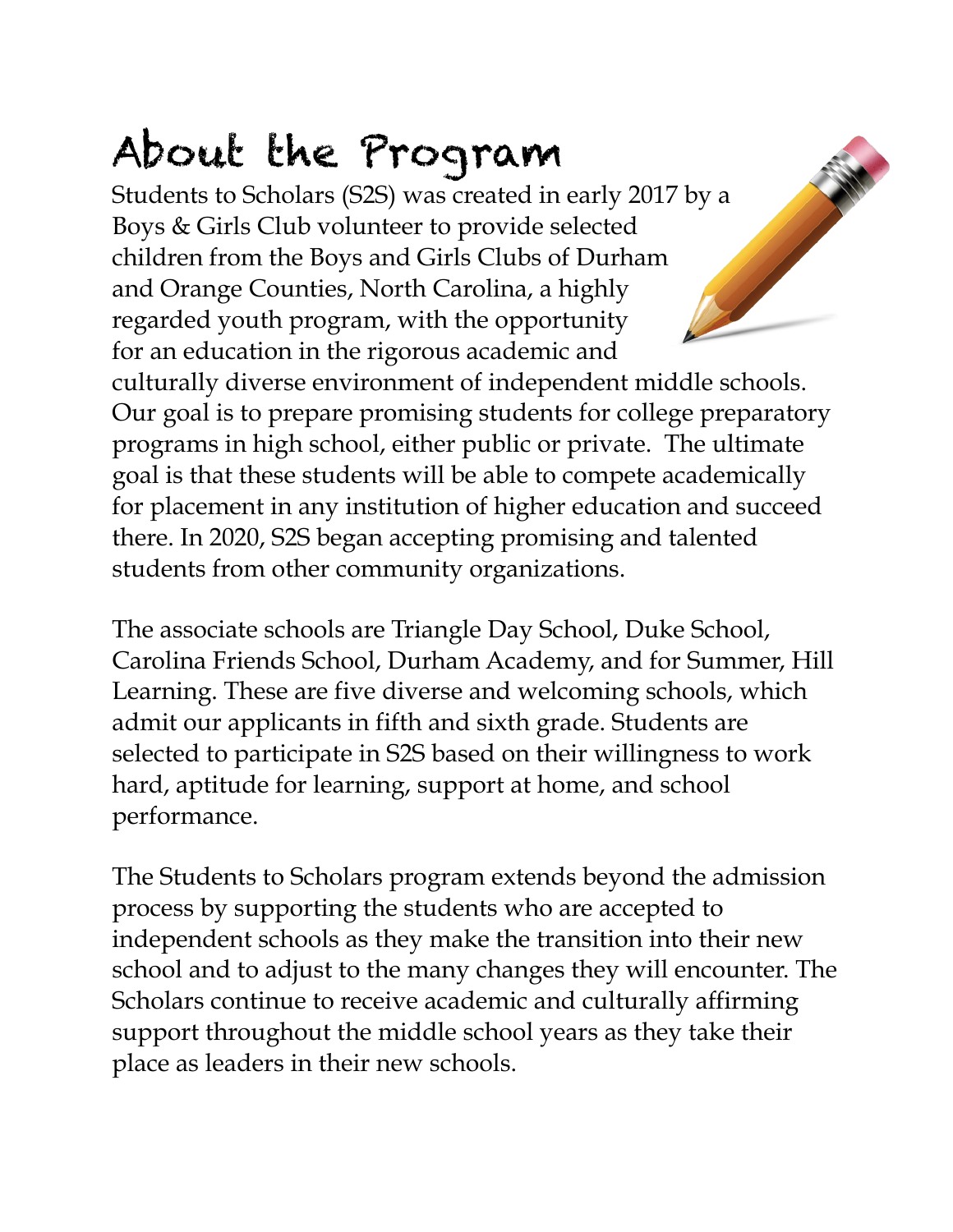# About the Program

Students to Scholars (S2S) was created in early 2017 by a Boys & Girls Club volunteer to provide selected children from the Boys and Girls Clubs of Durham and Orange Counties, North Carolina, a highly regarded youth program, with the opportunity for an education in the rigorous academic and culturally diverse environment of independent middle schools.

Our goal is to prepare promising students for college preparatory programs in high school, either public or private. The ultimate goal is that these students will be able to compete academically for placement in any institution of higher education and succeed there. In 2020, S2S began accepting promising and talented students from other community organizations.

The associate schools are Triangle Day School, Duke School, Carolina Friends School, Durham Academy, and for Summer, Hill Learning. These are five diverse and welcoming schools, which admit our applicants in fifth and sixth grade. Students are selected to participate in S2S based on their willingness to work hard, aptitude for learning, support at home, and school performance.

The Students to Scholars program extends beyond the admission process by supporting the students who are accepted to independent schools as they make the transition into their new school and to adjust to the many changes they will encounter. The Scholars continue to receive academic and culturally affirming support throughout the middle school years as they take their place as leaders in their new schools.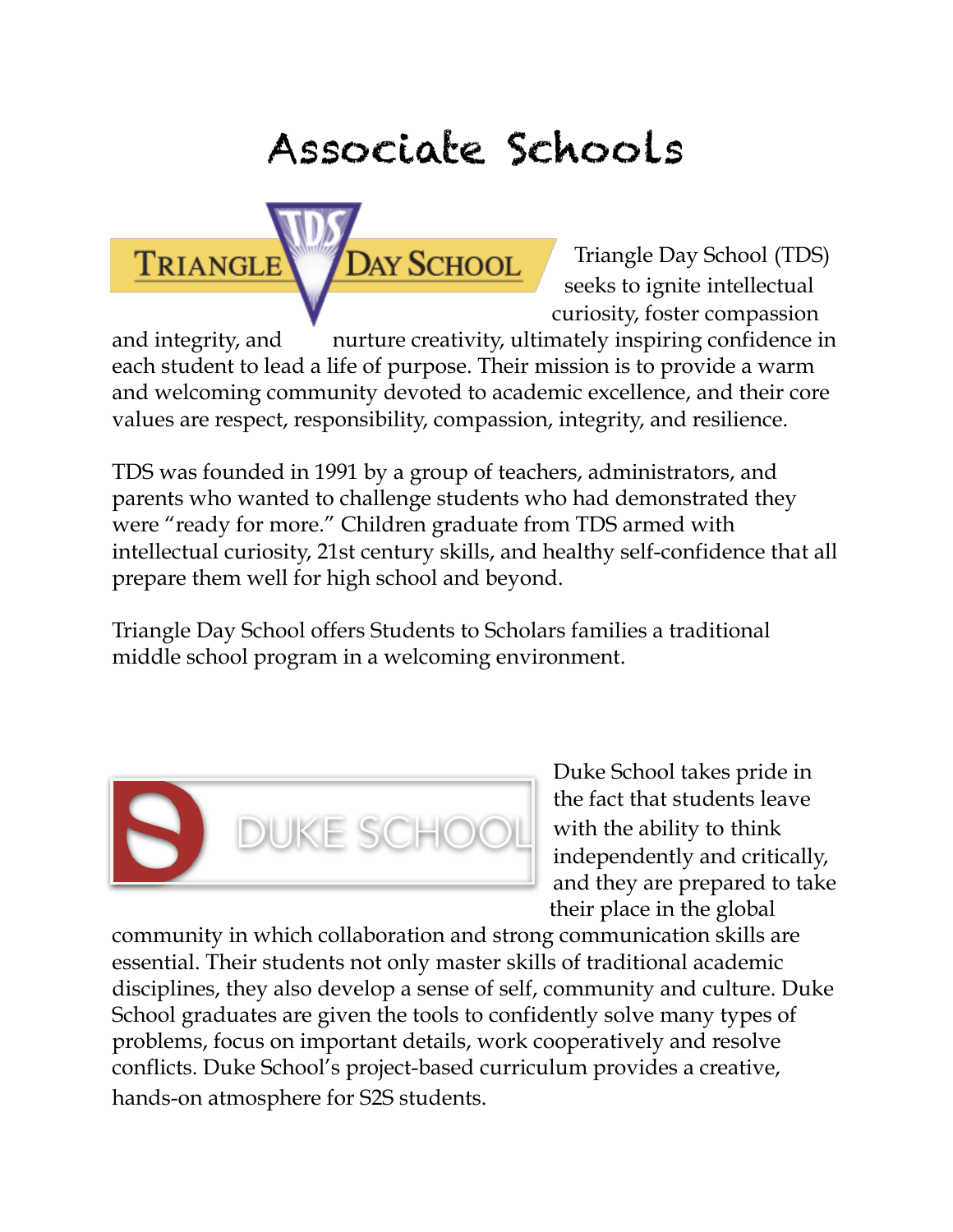# Associate Schools

#### **TRIANGLE** DAY SCHOOL

curiosity, foster compassion and integrity, and nurture creativity, ultimately inspiring confidence in each student to lead a life of purpose. Their mission is to provide a warm and welcoming community devoted to academic excellence, and their core values are respect, responsibility, compassion, integrity, and resilience.

TDS was founded in 1991 by a group of teachers, administrators, and parents who wanted to challenge students who had demonstrated they were "ready for more." Children graduate from TDS armed with intellectual curiosity, 21st century skills, and healthy self-confidence that all prepare them well for high school and beyond.

Triangle Day School offers Students to Scholars families a traditional middle school program in a welcoming environment.



Duke School takes pride in the fact that students leave with the ability to think independently and critically, and they are prepared to take their place in the global

Triangle Day School (TDS)

seeks to ignite intellectual

community in which collaboration and strong communication skills are essential. Their students not only master skills of traditional academic disciplines, they also develop a sense of self, community and culture. Duke School graduates are given the tools to confidently solve many types of problems, focus on important details, work cooperatively and resolve conflicts. Duke School's project-based curriculum provides a creative, hands-on atmosphere for S2S students.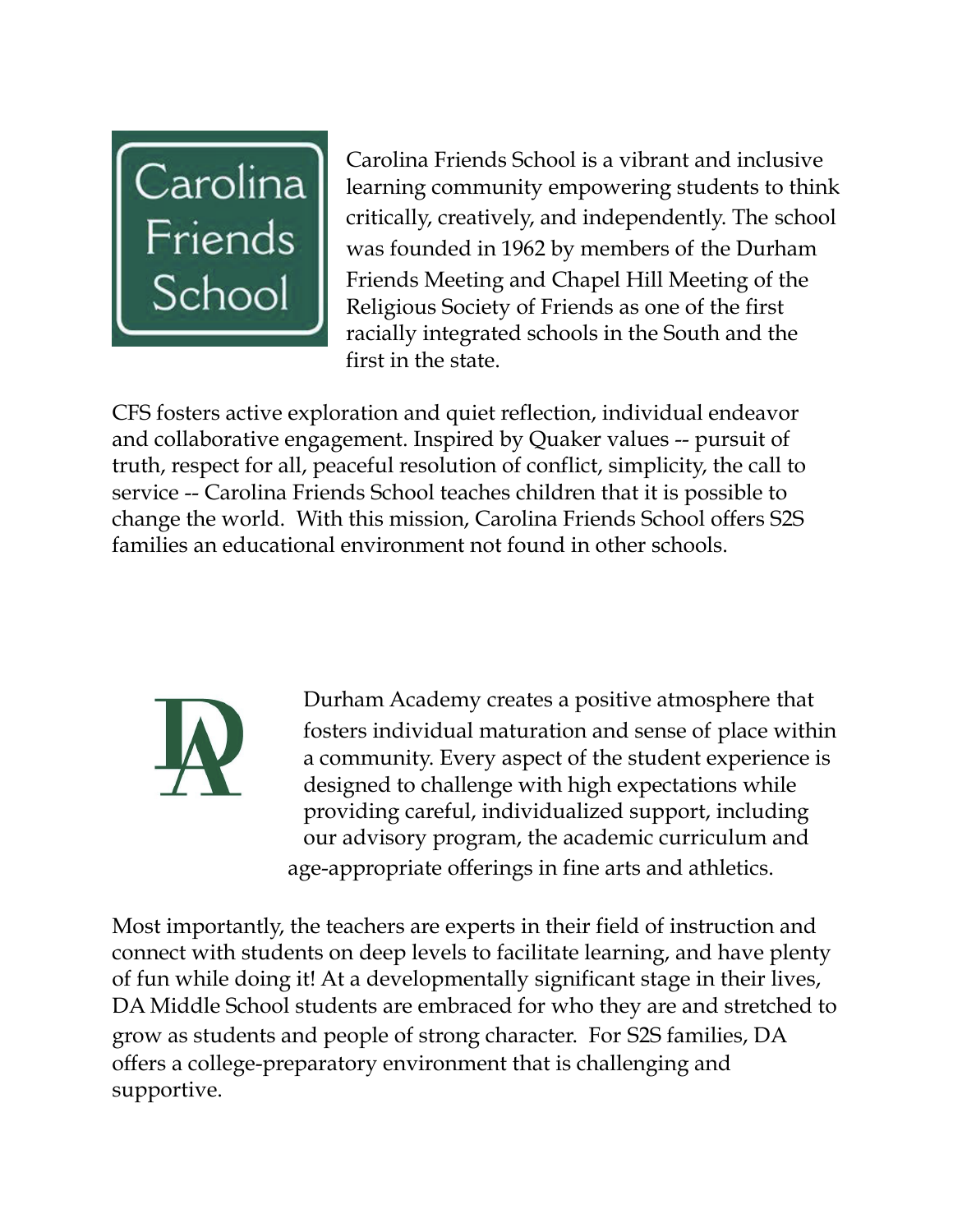# Carolina<br>Friends<br>School

Carolina Friends School is a vibrant and inclusive learning community empowering students to think critically, creatively, and independently. The school was founded in 1962 by members of the Durham Friends Meeting and Chapel Hill Meeting of the Religious Society of Friends as one of the first racially integrated schools in the South and the first in the state.

CFS fosters active exploration and quiet reflection, individual endeavor and collaborative engagement. Inspired by Quaker values -- pursuit of truth, respect for all, peaceful resolution of conflict, simplicity, the call to service -- Carolina Friends School teaches children that it is possible to change the world. With this mission, Carolina Friends School offers S2S families an educational environment not found in other schools.



Durham Academy creates a positive atmosphere that fosters individual maturation and sense of place within a community. Every aspect of the student experience is designed to challenge with high expectations while providing careful, individualized support, including our advisory program, the academic curriculum and age-appropriate offerings in fine arts and athletics.

Most importantly, the teachers are experts in their field of instruction and connect with students on deep levels to facilitate learning, and have plenty of fun while doing it! At a developmentally significant stage in their lives, DA Middle School students are embraced for who they are and stretched to grow as students and people of strong character. For S2S families, DA offers a college-preparatory environment that is challenging and supportive.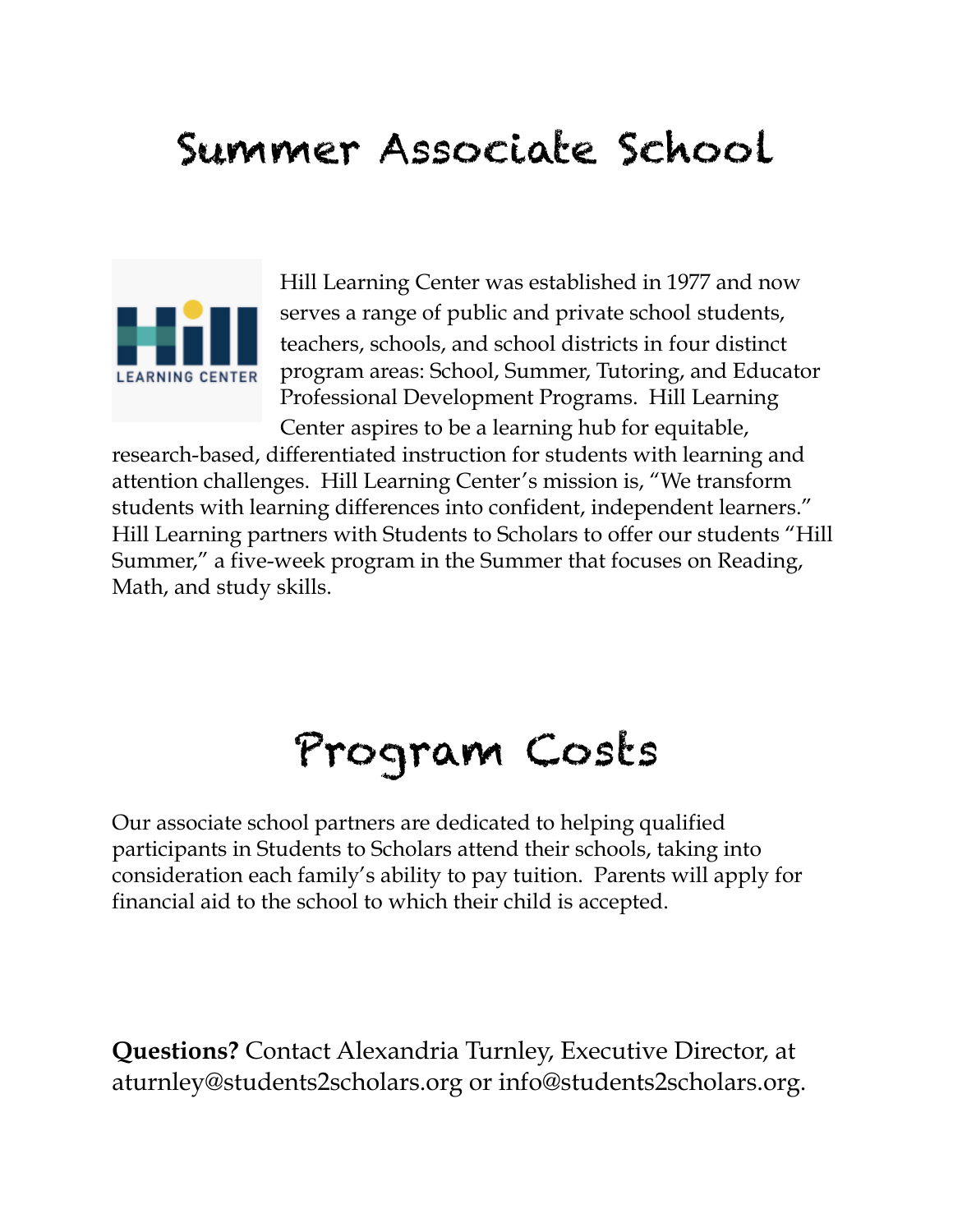### Summer Associate School



Hill Learning Center was established in 1977 and now serves a range of public and private school students, teachers, schools, and school districts in four distinct program areas: School, Summer, Tutoring, and Educator Professional Development Programs. Hill Learning Center aspires to be a learning hub for equitable,

research-based, differentiated instruction for students with learning and attention challenges. Hill Learning Center's mission is, "We transform students with learning differences into confident, independent learners." Hill Learning partners with Students to Scholars to offer our students "Hill Summer," a five-week program in the Summer that focuses on Reading, Math, and study skills.

# Program Costs

Our associate school partners are dedicated to helping qualified participants in Students to Scholars attend their schools, taking into consideration each family's ability to pay tuition. Parents will apply for financial aid to the school to which their child is accepted.

**Questions?** Contact Alexandria Turnley, Executive Director, at aturnley@students2scholars.org or info@students2scholars.org.